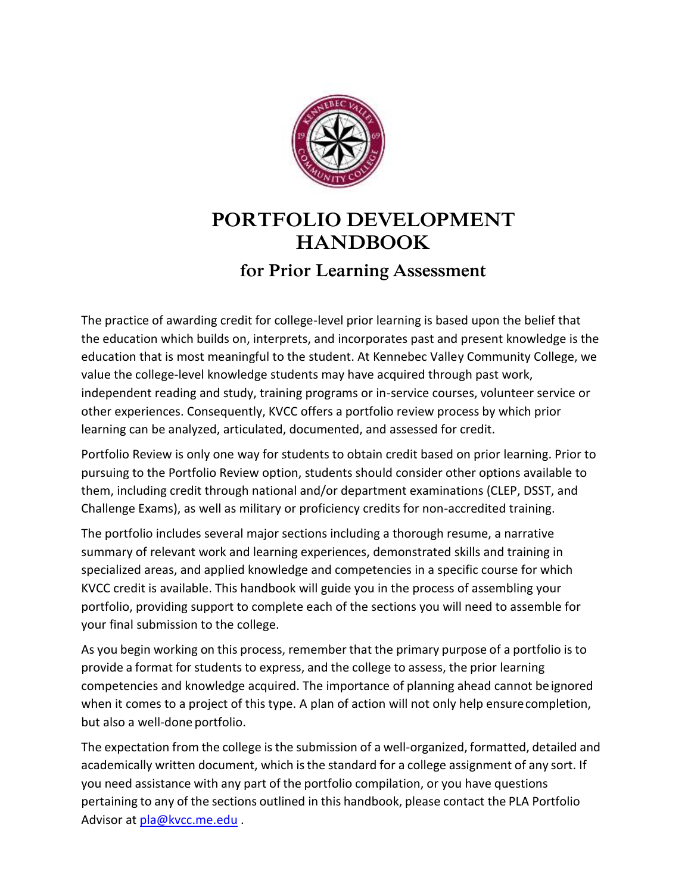

# **PORTFOLIO DEVELOPMENT HANDBOOK**

## **for Prior Learning Assessment**

The practice of awarding credit for college-level prior learning is based upon the belief that the education which builds on, interprets, and incorporates past and present knowledge is the education that is most meaningful to the student. At Kennebec Valley Community College, we value the college-level knowledge students may have acquired through past work, independent reading and study, training programs or in-service courses, volunteer service or other experiences. Consequently, KVCC offers a portfolio review process by which prior learning can be analyzed, articulated, documented, and assessed for credit.

Portfolio Review is only one way for students to obtain credit based on prior learning. Prior to pursuing to the Portfolio Review option, students should consider other options available to them, including credit through national and/or department examinations (CLEP, DSST, and Challenge Exams), as well as military or proficiency credits for non-accredited training.

The portfolio includes several major sections including a thorough resume, a narrative summary of relevant work and learning experiences, demonstrated skills and training in specialized areas, and applied knowledge and competencies in a specific course for which KVCC credit is available. This handbook will guide you in the process of assembling your portfolio, providing support to complete each of the sections you will need to assemble for your final submission to the college.

As you begin working on this process, remember that the primary purpose of a portfolio is to provide a format for students to express, and the college to assess, the prior learning competencies and knowledge acquired. The importance of planning ahead cannot beignored when it comes to a project of this type. A plan of action will not only help ensurecompletion, but also a well-done portfolio.

The expectation from the college is the submission of a well-organized, formatted, detailed and academically written document, which is the standard for a college assignment of any sort. If you need assistance with any part of the portfolio compilation, or you have questions pertaining to any of the sections outlined in this handbook, please contact the PLA Portfolio Advisor at [pla@kvcc.me.edu](mailto:pla@kvcc.me.edu) .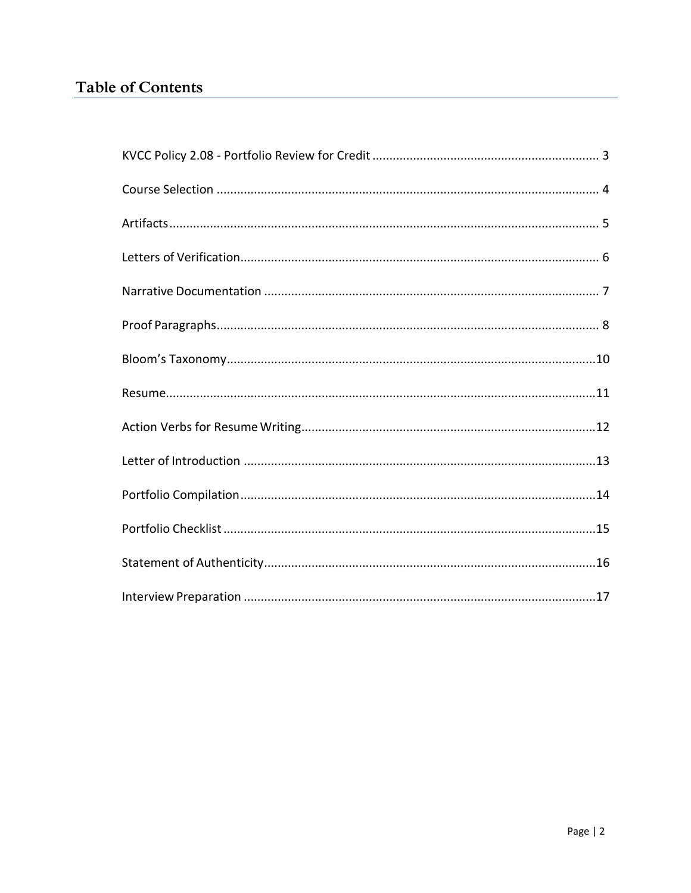## **Table of Contents**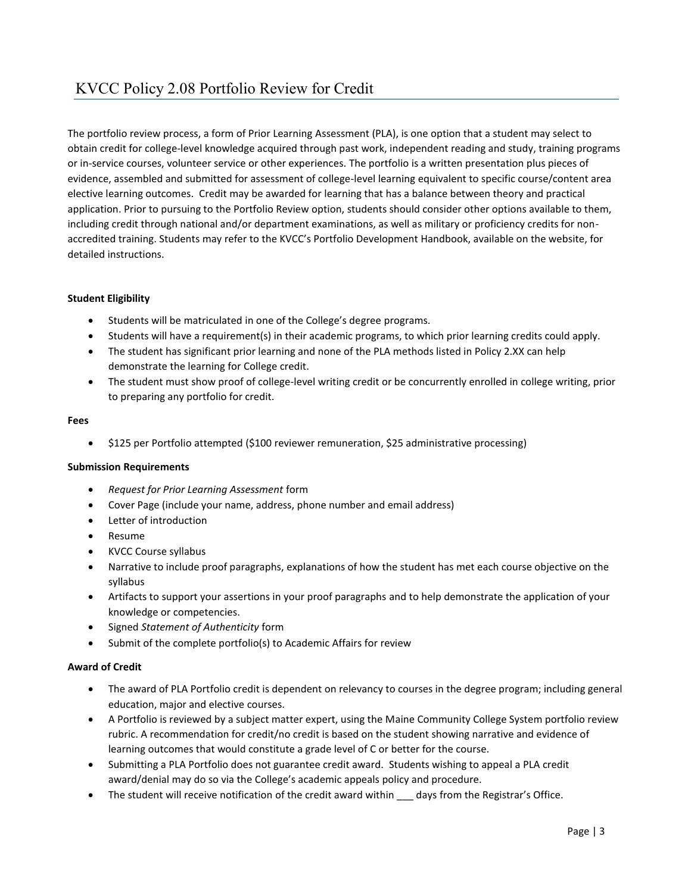The portfolio review process, a form of Prior Learning Assessment (PLA), is one option that a student may select to obtain credit for college-level knowledge acquired through past work, independent reading and study, training programs or in-service courses, volunteer service or other experiences. The portfolio is a written presentation plus pieces of evidence, assembled and submitted for assessment of college-level learning equivalent to specific course/content area elective learning outcomes. Credit may be awarded for learning that has a balance between theory and practical application. Prior to pursuing to the Portfolio Review option, students should consider other options available to them, including credit through national and/or department examinations, as well as military or proficiency credits for nonaccredited training. Students may refer to the KVCC's Portfolio Development Handbook, available on the website, for detailed instructions.

#### **Student Eligibility**

- Students will be matriculated in one of the College's degree programs.
- Students will have a requirement(s) in their academic programs, to which prior learning credits could apply.
- The student has significant prior learning and none of the PLA methods listed in Policy 2.XX can help demonstrate the learning for College credit.
- The student must show proof of college-level writing credit or be concurrently enrolled in college writing, prior to preparing any portfolio for credit.

#### **Fees**

• \$125 per Portfolio attempted (\$100 reviewer remuneration, \$25 administrative processing)

#### **Submission Requirements**

- *Request for Prior Learning Assessment* form
- Cover Page (include your name, address, phone number and email address)
- Letter of introduction
- Resume
- KVCC Course syllabus
- Narrative to include proof paragraphs, explanations of how the student has met each course objective on the syllabus
- Artifacts to support your assertions in your proof paragraphs and to help demonstrate the application of your knowledge or competencies.
- Signed *Statement of Authenticity* form
- Submit of the complete portfolio(s) to Academic Affairs for review

#### **Award of Credit**

- The award of PLA Portfolio credit is dependent on relevancy to courses in the degree program; including general education, major and elective courses.
- A Portfolio is reviewed by a subject matter expert, using the Maine Community College System portfolio review rubric. A recommendation for credit/no credit is based on the student showing narrative and evidence of learning outcomes that would constitute a grade level of C or better for the course.
- Submitting a PLA Portfolio does not guarantee credit award. Students wishing to appeal a PLA credit award/denial may do so via the College's academic appeals policy and procedure.
- The student will receive notification of the credit award within days from the Registrar's Office.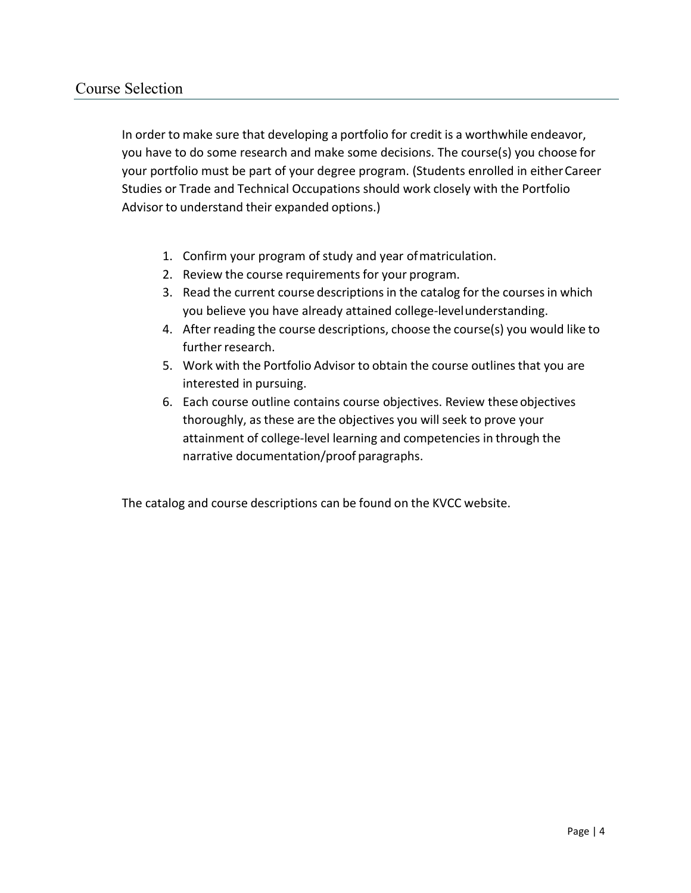<span id="page-3-0"></span>In order to make sure that developing a portfolio for credit is a worthwhile endeavor, you have to do some research and make some decisions. The course(s) you choose for your portfolio must be part of your degree program. (Students enrolled in eitherCareer Studies or Trade and Technical Occupations should work closely with the Portfolio Advisor to understand their expanded options.)

- 1. Confirm your program of study and year ofmatriculation.
- 2. Review the course requirements for your program.
- 3. Read the current course descriptions in the catalog for the courses in which you believe you have already attained college-levelunderstanding.
- 4. After reading the course descriptions, choose the course(s) you would like to further research.
- 5. Work with the Portfolio Advisor to obtain the course outlines that you are interested in pursuing.
- 6. Each course outline contains course objectives. Review theseobjectives thoroughly, asthese are the objectives you will seek to prove your attainment of college-level learning and competencies in through the narrative documentation/proof paragraphs.

The catalog and course descriptions can be found on the KVCC website.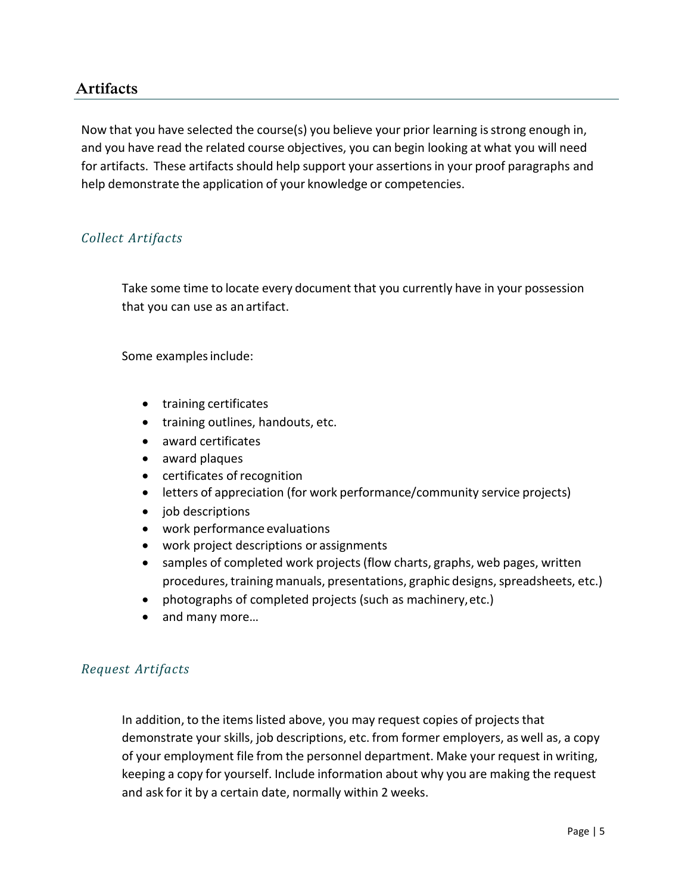### **Artifacts**

<span id="page-4-0"></span>Now that you have selected the course(s) you believe your prior learning is strong enough in, and you have read the related course objectives, you can begin looking at what you will need for artifacts. These artifacts should help support your assertionsin your proof paragraphs and help demonstrate the application of your knowledge or competencies.

### *Collect Artifacts*

Take some time to locate every document that you currently have in your possession that you can use as an artifact.

Some examples include:

- training certificates
- training outlines, handouts, etc.
- award certificates
- award plaques
- certificates of recognition
- letters of appreciation (for work performance/community service projects)
- job descriptions
- work performance evaluations
- work project descriptions or assignments
- samples of completed work projects (flow charts, graphs, web pages, written procedures, training manuals, presentations, graphic designs, spreadsheets, etc.)
- photographs of completed projects (such as machinery,etc.)
- and many more...

### *Request Artifacts*

In addition, to the items listed above, you may request copies of projects that demonstrate your skills, job descriptions, etc. from former employers, as well as, a copy of your employment file from the personnel department. Make your request in writing, keeping a copy for yourself. Include information about why you are making the request and ask for it by a certain date, normally within 2 weeks.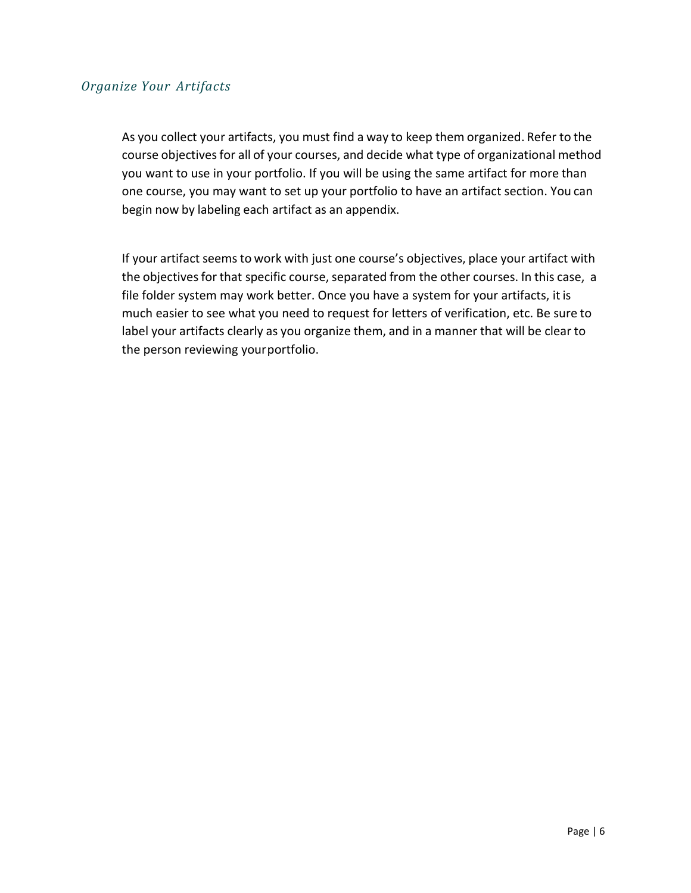### *Organize Your Artifacts*

As you collect your artifacts, you must find a way to keep them organized. Refer to the course objectivesfor all of your courses, and decide what type of organizational method you want to use in your portfolio. If you will be using the same artifact for more than one course, you may want to set up your portfolio to have an artifact section. You can begin now by labeling each artifact as an appendix.

If your artifact seems to work with just one course's objectives, place your artifact with the objectives for that specific course, separated from the other courses. In this case, a file folder system may work better. Once you have a system for your artifacts, it is much easier to see what you need to request for letters of verification, etc. Be sure to label your artifacts clearly as you organize them, and in a manner that will be clear to the person reviewing yourportfolio.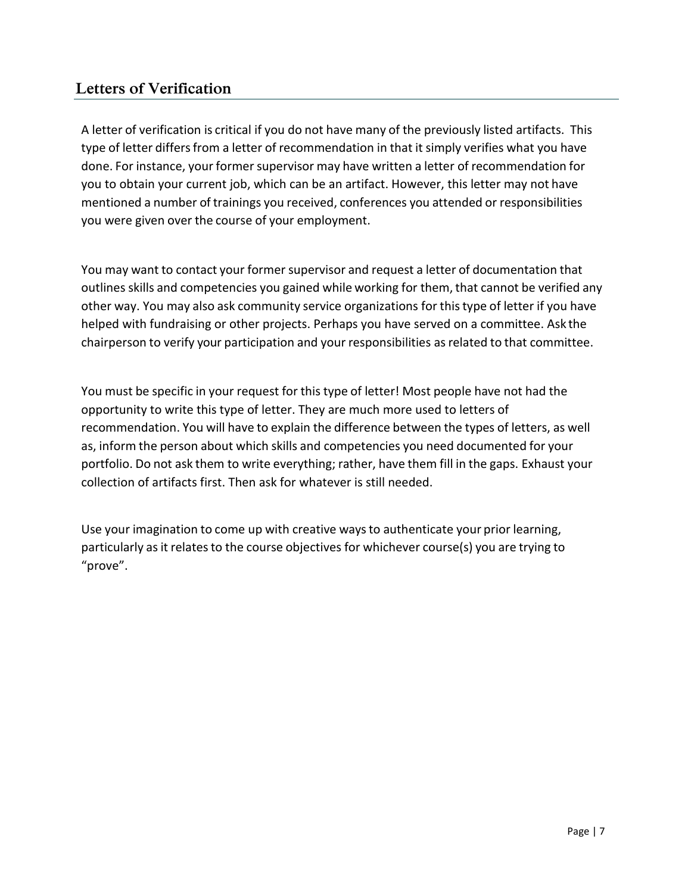## **Letters of Verification**

<span id="page-6-0"></span>A letter of verification is critical if you do not have many of the previously listed artifacts. This type of letter differs from a letter of recommendation in that it simply verifies what you have done. For instance, your former supervisor may have written a letter of recommendation for you to obtain your current job, which can be an artifact. However, this letter may not have mentioned a number of trainings you received, conferences you attended or responsibilities you were given over the course of your employment.

You may want to contact your former supervisor and request a letter of documentation that outlines skills and competencies you gained while working for them, that cannot be verified any other way. You may also ask community service organizations for thistype of letter if you have helped with fundraising or other projects. Perhaps you have served on a committee. Ask the chairperson to verify your participation and your responsibilities as related to that committee.

You must be specific in your request for this type of letter! Most people have not had the opportunity to write this type of letter. They are much more used to letters of recommendation. You will have to explain the difference between the types of letters, as well as, inform the person about which skills and competencies you need documented for your portfolio. Do not ask them to write everything; rather, have them fill in the gaps. Exhaust your collection of artifacts first. Then ask for whatever is still needed.

Use your imagination to come up with creative waysto authenticate your prior learning, particularly as it relates to the course objectives for whichever course(s) you are trying to "prove".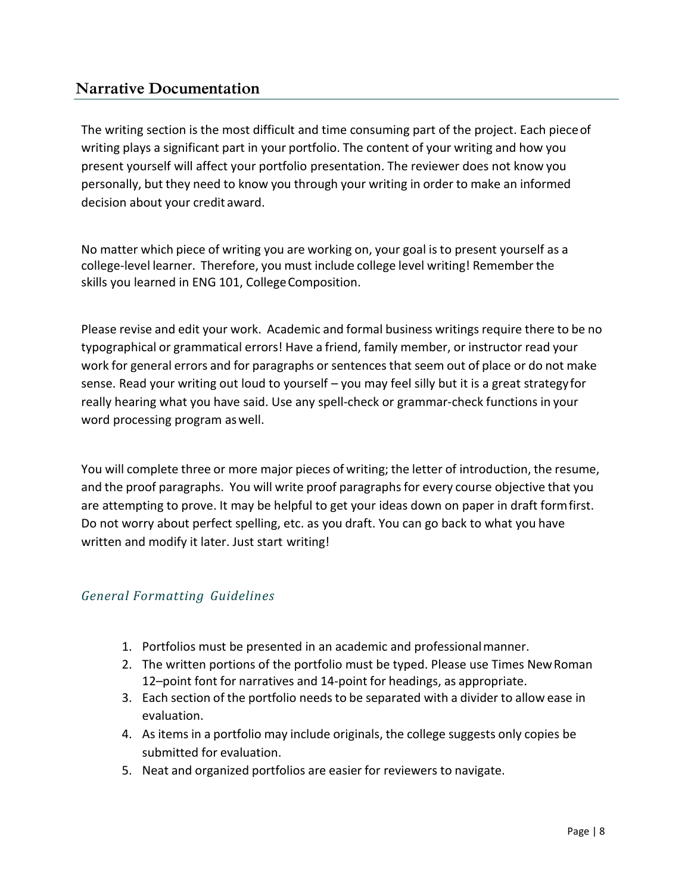## **Narrative Documentation**

<span id="page-7-0"></span>The writing section is the most difficult and time consuming part of the project. Each pieceof writing plays a significant part in your portfolio. The content of your writing and how you present yourself will affect your portfolio presentation. The reviewer does not know you personally, but they need to know you through your writing in order to make an informed decision about your credit award.

No matter which piece of writing you are working on, your goal isto present yourself as a college-level learner. Therefore, you must include college level writing! Remember the skills you learned in ENG 101, College Composition.

Please revise and edit your work. Academic and formal business writings require there to be no typographical or grammatical errors! Have a friend, family member, or instructor read your work for general errors and for paragraphs or sentences that seem out of place or do not make sense. Read your writing out loud to yourself – you may feel silly but it is a great strategy for really hearing what you have said. Use any spell-check or grammar-check functions in your word processing program aswell.

You will complete three or more major pieces of writing; the letter of introduction, the resume, and the proof paragraphs. You will write proof paragraphsfor every course objective that you are attempting to prove. It may be helpful to get your ideas down on paper in draft formfirst. Do not worry about perfect spelling, etc. as you draft. You can go back to what you have written and modify it later. Just start writing!

### *General Formatting Guidelines*

- 1. Portfolios must be presented in an academic and professionalmanner.
- 2. The written portions of the portfolio must be typed. Please use Times NewRoman 12–point font for narratives and 14-point for headings, as appropriate.
- 3. Each section of the portfolio needsto be separated with a divider to allow ease in evaluation.
- 4. As items in a portfolio may include originals, the college suggests only copies be submitted for evaluation.
- 5. Neat and organized portfolios are easier for reviewers to navigate.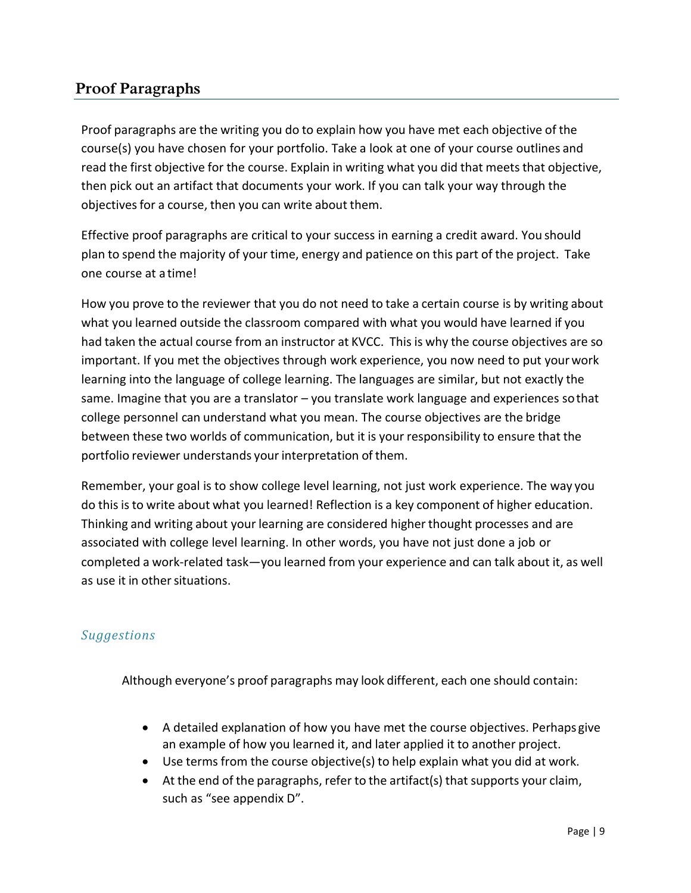## **Proof Paragraphs**

<span id="page-8-0"></span>Proof paragraphs are the writing you do to explain how you have met each objective of the course(s) you have chosen for your portfolio. Take a look at one of your course outlines and read the first objective for the course. Explain in writing what you did that meets that objective, then pick out an artifact that documents your work. If you can talk your way through the objectives for a course, then you can write about them.

Effective proof paragraphs are critical to your success in earning a credit award. You should plan to spend the majority of your time, energy and patience on this part of the project. Take one course at a time!

How you prove to the reviewer that you do not need to take a certain course is by writing about what you learned outside the classroom compared with what you would have learned if you had taken the actual course from an instructor at KVCC. This is why the course objectives are so important. If you met the objectives through work experience, you now need to put yourwork learning into the language of college learning. The languages are similar, but not exactly the same. Imagine that you are a translator – you translate work language and experiences sothat college personnel can understand what you mean. The course objectives are the bridge between these two worlds of communication, but it is your responsibility to ensure that the portfolio reviewer understands your interpretation of them.

Remember, your goal is to show college level learning, not just work experience. The way you do this isto write about what you learned! Reflection is a key component of higher education. Thinking and writing about your learning are considered higher thought processes and are associated with college level learning. In other words, you have not just done a job or completed a work-related task—you learned from your experience and can talk about it, as well as use it in othersituations.

### *Suggestions*

Although everyone's proof paragraphs may look different, each one should contain:

- A detailed explanation of how you have met the course objectives. Perhaps give an example of how you learned it, and later applied it to another project.
- Use terms from the course objective(s) to help explain what you did at work.
- At the end of the paragraphs, refer to the artifact(s) that supports your claim, such as "see appendix D".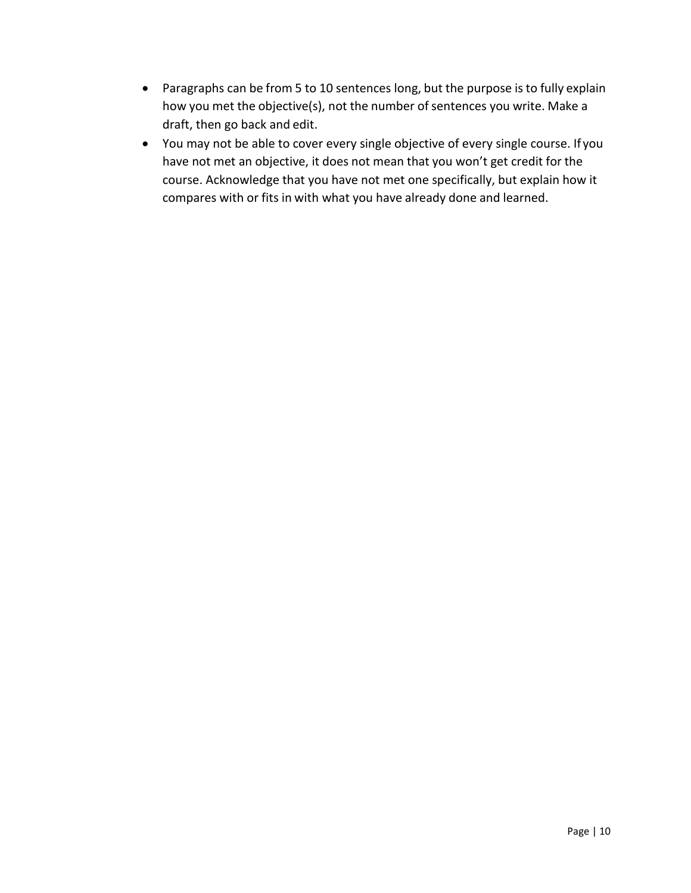- Paragraphs can be from 5 to 10 sentences long, but the purpose is to fully explain how you met the objective(s), not the number of sentences you write. Make a draft, then go back and edit.
- You may not be able to cover every single objective of every single course. If you have not met an objective, it does not mean that you won't get credit for the course. Acknowledge that you have not met one specifically, but explain how it compares with or fits in with what you have already done and learned.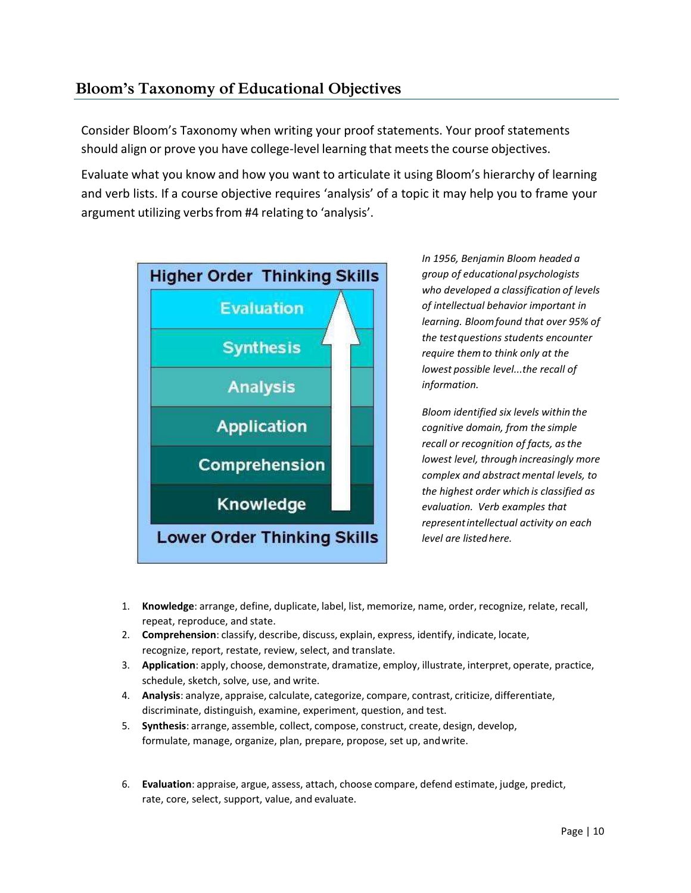## **Bloom's Taxonomy of Educational Objectives**

Consider Bloom's Taxonomy when writing your proof statements. Your proof statements should align or prove you have college-level learning that meets the course objectives.

Evaluate what you know and how you want to articulate it using Bloom's hierarchy of learning and verb lists. If a course objective requires 'analysis' of a topic it may help you to frame your argument utilizing verbsfrom #4 relating to 'analysis'.



*In 1956, Benjamin Bloom headed a group of educational psychologists who developed a classification of levels of intellectual behavior important in learning. Bloomfound that over 95% of the testquestions students encounter require themto think only at the lowest possible level...the recall of information.*

*Bloom identified six levels within the cognitive domain, from the simple recall or recognition of facts, asthe lowest level, through increasingly more complex and abstractmental levels, to the highest order which is classified as evaluation. Verb examples that representintellectual activity on each level are listedhere.*

- 1. **Knowledge**: arrange, define, duplicate, label, list, memorize, name, order, recognize, relate, recall, repeat, reproduce, and state.
- 2. **Comprehension**: classify, describe, discuss, explain, express, identify, indicate, locate, recognize, report, restate, review, select, and translate.
- 3. **Application**: apply, choose, demonstrate, dramatize, employ, illustrate, interpret, operate, practice, schedule, sketch, solve, use, and write.
- 4. **Analysis**: analyze, appraise, calculate, categorize, compare, contrast, criticize, differentiate, discriminate, distinguish, examine, experiment, question, and test.
- 5. **Synthesis**: arrange, assemble, collect, compose, construct, create, design, develop, formulate, manage, organize, plan, prepare, propose, set up, andwrite.
- 6. **Evaluation**: appraise, argue, assess, attach, choose compare, defend estimate, judge, predict, rate, core, select, support, value, and evaluate.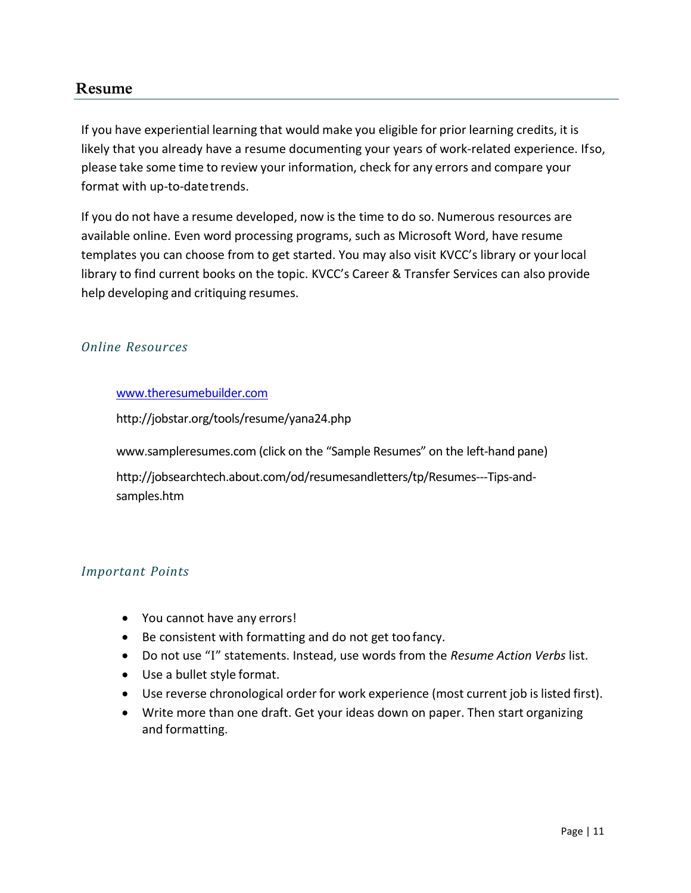### **Resume**

<span id="page-11-0"></span>If you have experiential learning that would make you eligible for prior learning credits, it is likely that you already have a resume documenting your years of work-related experience. Ifso, please take some time to review your information, check for any errors and compare your format with up-to-datetrends.

If you do not have a resume developed, now is the time to do so. Numerous resources are available online. Even word processing programs, such as Microsoft Word, have resume templates you can choose from to get started. You may also visit KVCC's library or yourlocal library to find current books on the topic. KVCC's Career & Transfer Services can also provide help developing and critiquing resumes.

### *Online Resources*

#### [www.theresumebuilder.com](http://www.theresumebuilder.com/)

<http://jobstar.org/tools/resume/yana24.php>

[www.sampleresumes.com](http://www.sampleresumes.com/) (click on the "Sample Resumes" on the left-hand pane)

[http://jobsearchtech.about.com/od/resumesandletters/tp/Resumes---Tips-and](http://jobsearchtech.about.com/od/resumesandletters/tp/Resumes---Tips-and-)samples.htm

### *Important Points*

- You cannot have any errors!
- Be consistent with formatting and do not get toofancy.
- Do not use "I" statements. Instead, use words from the *Resume Action Verbs* list.
- Use a bullet style format.
- Use reverse chronological order for work experience (most current job is listed first).
- Write more than one draft. Get your ideas down on paper. Then start organizing and formatting.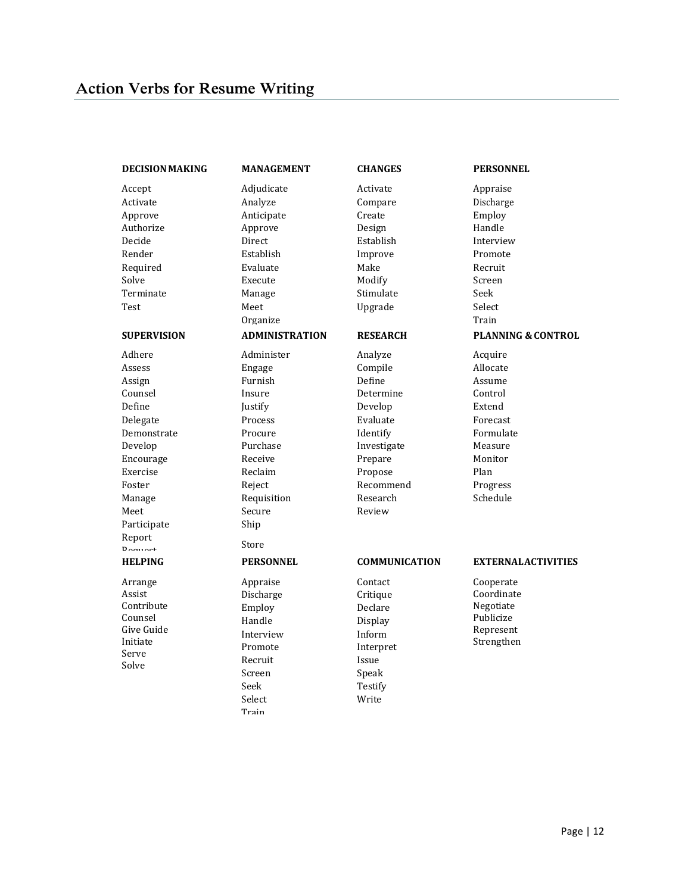#### <span id="page-12-0"></span>**DECISIONMAKING**

Accept Activate Approve Authorize Decide Render Required Solve Terminate Test **SUPERVISION ADMINISTRATION RESEARCH PLANNI** Adhere Assess Assign Counsel Define Delegate Demonstrate Develop Encourage Exercise Foster Manage Meet Participate Report Request Supervise **HELPING** Arrange Assist Contribute Counsel Give Guide Initiate Serve Solve

Adjudicate Analyze Anticipate Approve Direct Establish Evaluate Execute Manage Meet Organize Administer Engage Furnish Insure Justify Process Procure Purchase Receive Reclaim Reject Requisition Secure Ship Store **PERSONNEL** Appraise Discharge

Employ Handle Interview Promote Recruit Screen Seek Select Train

**MANAGEMENT**

**CHANGES** Activate

Compare Create Design Establish Improve Make Modify Stimulate Upgrade

**RESEARCH** Analyze Compile Define Determine Develop Evaluate Identify Investigate Prepare Propose Recommend Research Review

#### **PERSONNEL**

Appraise

Discharge Employ Handle Interview Promote Recruit Screen Seek Select Train

**PLANNING & CONTROL** Acquire Allocate Assume Control Extend Forecast Formulate Measure Monitor Plan Progress Schedule

#### **COMMUNICATION**

Contact Critique Declare Display Inform Interpret Issue Speak Testify Write

Cooperate Coordinate Negotiate Publicize

**EXTERNALACTIVITIES**

Represent Strengthen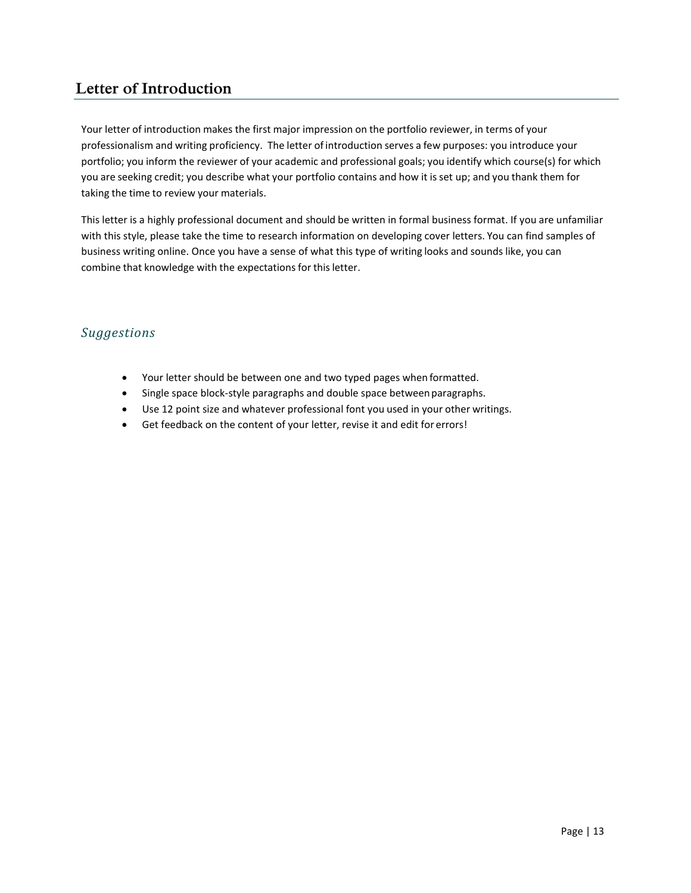## **Letter of Introduction**

<span id="page-13-0"></span>Your letter of introduction makes the first major impression on the portfolio reviewer, in terms of your professionalism and writing proficiency. The letter of introduction serves a few purposes: you introduce your portfolio; you inform the reviewer of your academic and professional goals; you identify which course(s) for which you are seeking credit; you describe what your portfolio contains and how it is set up; and you thank them for taking the time to review your materials.

This letter is a highly professional document and should be written in formal business format. If you are unfamiliar with this style, please take the time to research information on developing cover letters. You can find samples of business writing online. Once you have a sense of what this type of writing looks and sounds like, you can combine that knowledge with the expectations for this letter.

### *Suggestions*

- Your letter should be between one and two typed pages when formatted.
- Single space block-style paragraphs and double space between paragraphs.
- Use 12 point size and whatever professional font you used in your other writings.
- Get feedback on the content of your letter, revise it and edit for errors!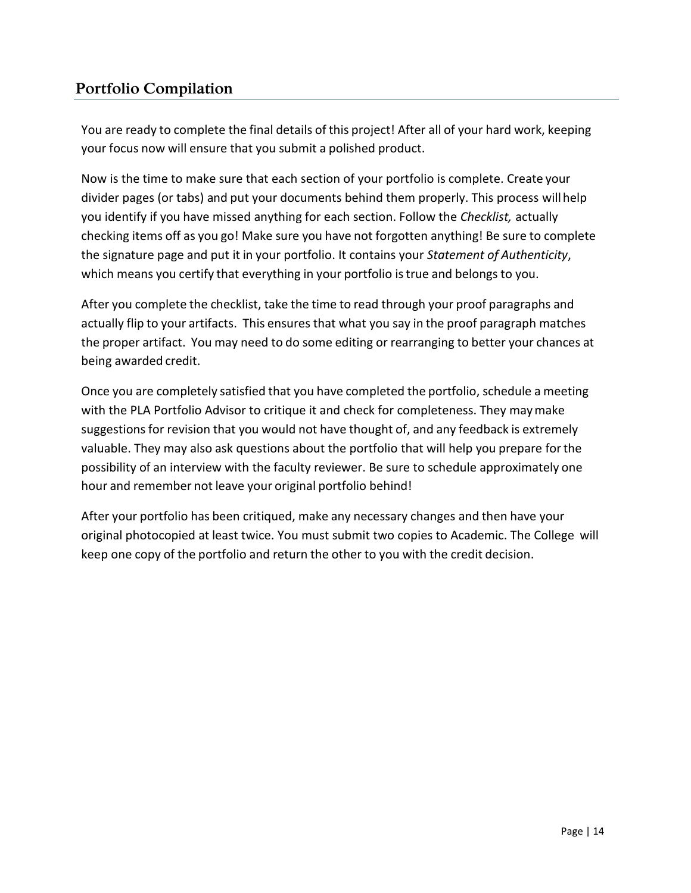## **Portfolio Compilation**

<span id="page-14-0"></span>You are ready to complete the final details of this project! After all of your hard work, keeping your focus now will ensure that you submit a polished product.

Now is the time to make sure that each section of your portfolio is complete. Create your divider pages (or tabs) and put your documents behind them properly. This process willhelp you identify if you have missed anything for each section. Follow the *Checklist,* actually checking items off as you go! Make sure you have not forgotten anything! Be sure to complete the signature page and put it in your portfolio. It contains your *Statement of Authenticity*, which means you certify that everything in your portfolio is true and belongs to you.

After you complete the checklist, take the time to read through your proof paragraphs and actually flip to your artifacts. This ensures that what you say in the proof paragraph matches the proper artifact. You may need to do some editing or rearranging to better your chances at being awarded credit.

Once you are completely satisfied that you have completed the portfolio, schedule a meeting with the PLA Portfolio Advisor to critique it and check for completeness. They maymake suggestions for revision that you would not have thought of, and any feedback is extremely valuable. They may also ask questions about the portfolio that will help you prepare forthe possibility of an interview with the faculty reviewer. Be sure to schedule approximately one hour and remember not leave your original portfolio behind!

After your portfolio has been critiqued, make any necessary changes and then have your original photocopied at least twice. You must submit two copies to Academic. The College will keep one copy of the portfolio and return the other to you with the credit decision.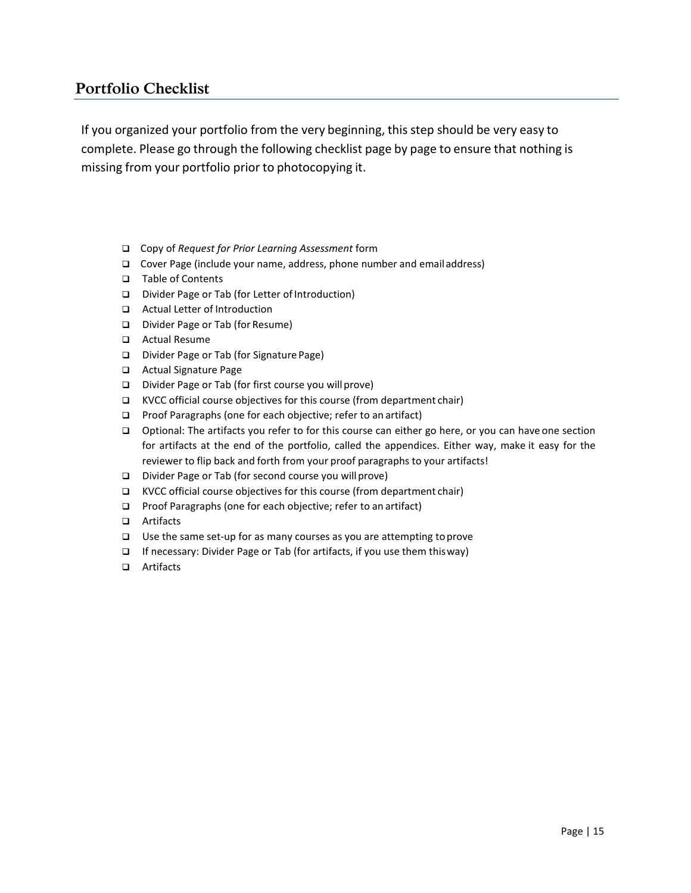### **Portfolio Checklist**

<span id="page-15-0"></span>If you organized your portfolio from the very beginning, this step should be very easy to complete. Please go through the following checklist page by page to ensure that nothing is missing from your portfolio prior to photocopying it.

- ❑ Copy of *Request for Prior Learning Assessment* form
- ❑ Cover Page (include your name, address, phone number and emailaddress)
- ❑ Table of Contents
- ❑ Divider Page or Tab (for Letter ofIntroduction)
- ❑ Actual Letter of Introduction
- ❑ Divider Page or Tab (for Resume)
- ❑ Actual Resume
- ❑ Divider Page or Tab (for Signature Page)
- ❑ Actual Signature Page
- ❑ Divider Page or Tab (for first course you willprove)
- ❑ KVCC official course objectives for this course (from department chair)
- ❑ Proof Paragraphs (one for each objective; refer to an artifact)
- ❑ Optional: The artifacts you refer to for this course can either go here, or you can have one section for artifacts at the end of the portfolio, called the appendices. Either way, make it easy for the reviewer to flip back and forth from your proof paragraphs to your artifacts!
- ❑ Divider Page or Tab (for second course you willprove)
- ❑ KVCC official course objectives for this course (from department chair)
- ❑ Proof Paragraphs (one for each objective; refer to an artifact)
- ❑ Artifacts
- ❑ Use the same set-up for as many courses as you are attempting toprove
- ❑ If necessary: Divider Page or Tab (for artifacts, if you use them thisway)
- ❑ Artifacts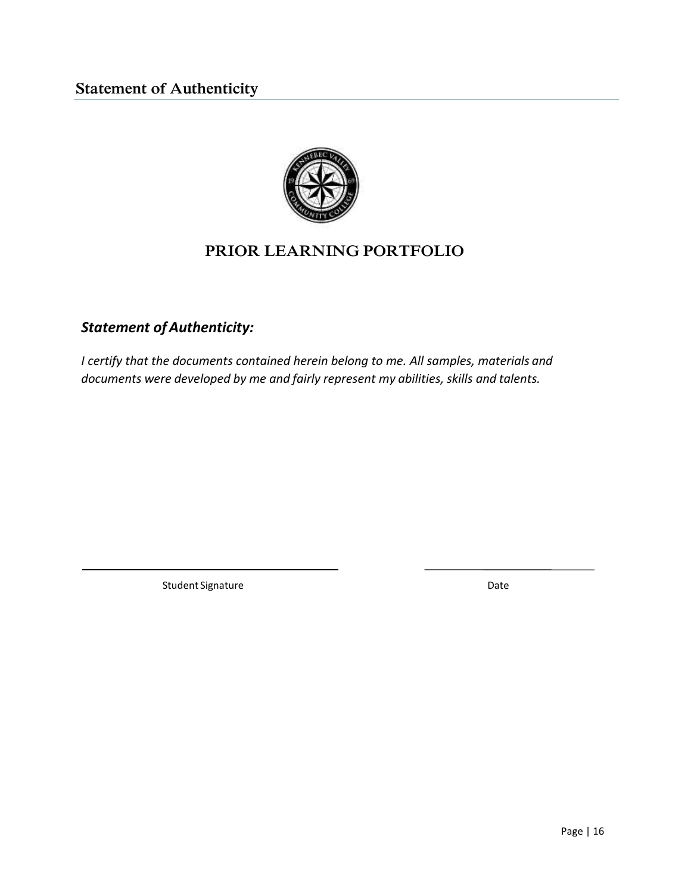

## **PRIOR LEARNING PORTFOLIO**

## <span id="page-16-0"></span>*Statement ofAuthenticity:*

*I certify that the documents contained herein belong to me. All samples, materials and documents were developed by me and fairly represent my abilities, skills and talents.*

Student Signature Date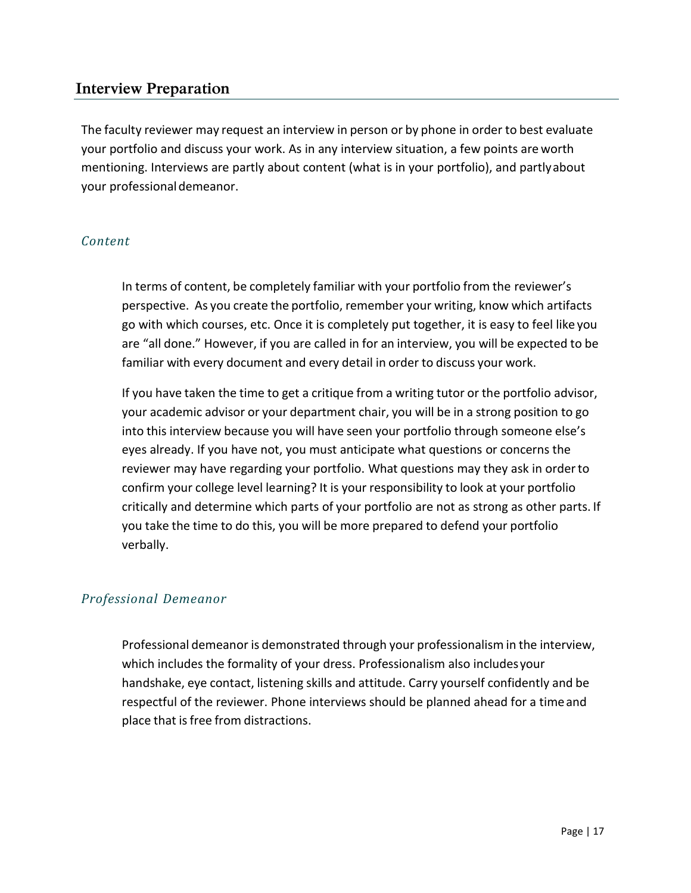### **Interview Preparation**

<span id="page-17-0"></span>The faculty reviewer may request an interview in person or by phone in order to best evaluate your portfolio and discuss your work. As in any interview situation, a few points are worth mentioning. Interviews are partly about content (what is in your portfolio), and partlyabout your professionaldemeanor.

#### *Content*

In terms of content, be completely familiar with your portfolio from the reviewer's perspective. As you create the portfolio, remember your writing, know which artifacts go with which courses, etc. Once it is completely put together, it is easy to feel like you are "all done." However, if you are called in for an interview, you will be expected to be familiar with every document and every detail in order to discuss your work.

If you have taken the time to get a critique from a writing tutor or the portfolio advisor, your academic advisor or your department chair, you will be in a strong position to go into this interview because you will have seen your portfolio through someone else's eyes already. If you have not, you must anticipate what questions or concerns the reviewer may have regarding your portfolio. What questions may they ask in orderto confirm your college level learning? It is your responsibility to look at your portfolio critically and determine which parts of your portfolio are not as strong as other parts. If you take the time to do this, you will be more prepared to defend your portfolio verbally.

### *Professional Demeanor*

Professional demeanor is demonstrated through your professionalism in the interview, which includes the formality of your dress. Professionalism also includesyour handshake, eye contact, listening skills and attitude. Carry yourself confidently and be respectful of the reviewer. Phone interviews should be planned ahead for a timeand place that is free from distractions.